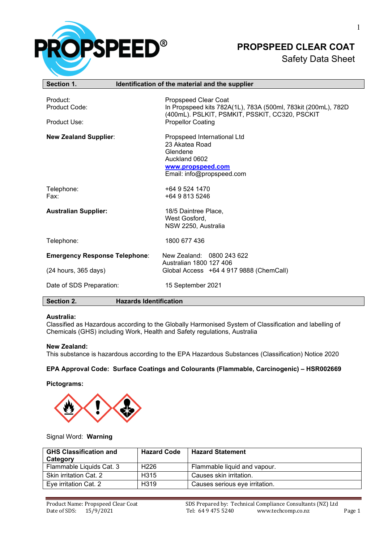

# **PROPSPEED CLEAR COAT**

## Safety Data Sheet

| Section 1.                                | Identification of the material and the supplier                                                                                                                     |
|-------------------------------------------|---------------------------------------------------------------------------------------------------------------------------------------------------------------------|
| Product:<br>Product Code:<br>Product Use: | Propspeed Clear Coat<br>In Propspeed kits 782A(1L), 783A (500ml, 783kit (200mL), 782D<br>(400mL). PSLKIT, PSMKIT, PSSKIT, CC320, PSCKIT<br><b>Propellor Coating</b> |
| <b>New Zealand Supplier:</b>              | Propspeed International Ltd<br>23 Akatea Road<br>Glendene<br>Auckland 0602<br>www.propspeed.com<br>Email: info@propspeed.com                                        |
| Telephone:<br>Fax:                        | +64 9 524 1470<br>+64 9 813 5246                                                                                                                                    |
| <b>Australian Supplier:</b>               | 18/5 Daintree Place,<br>West Gosford,<br>NSW 2250, Australia                                                                                                        |
| Telephone:                                | 1800 677 436                                                                                                                                                        |
| <b>Emergency Response Telephone:</b>      | New Zealand: 0800 243 622<br>Australian 1800 127 406                                                                                                                |
| (24 hours, 365 days)                      | Global Access +64 4 917 9888 (ChemCall)                                                                                                                             |
| Date of SDS Preparation:                  | 15 September 2021                                                                                                                                                   |
| Section 2.                                | <b>Hazards Identification</b>                                                                                                                                       |

#### **Australia:**

Classified as Hazardous according to the Globally Harmonised System of Classification and labelling of Chemicals (GHS) including Work, Health and Safety regulations, Australia

#### **New Zealand:**

This substance is hazardous according to the EPA Hazardous Substances (Classification) Notice 2020

#### **EPA Approval Code: Surface Coatings and Colourants (Flammable, Carcinogenic) – HSR002669**

#### **Pictograms:**



#### Signal Word: **Warning**

| <b>GHS Classification and</b><br>Category | <b>Hazard Code</b> | <b>Hazard Statement</b>        |
|-------------------------------------------|--------------------|--------------------------------|
| Flammable Liquids Cat. 3                  | H <sub>226</sub>   | Flammable liquid and vapour.   |
| Skin irritation Cat. 2                    | H <sub>315</sub>   | Causes skin irritation.        |
| Eve irritation Cat. 2                     | H <sub>319</sub>   | Causes serious eye irritation. |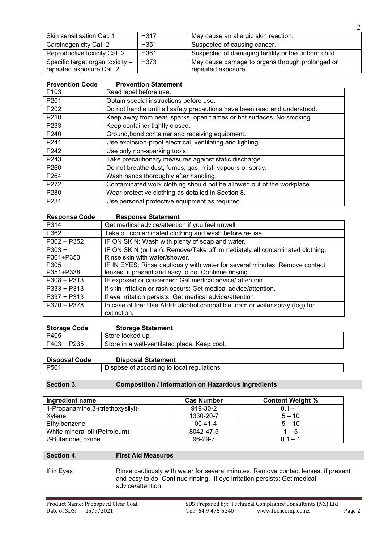| Skin sensitisation Cat. 1        | H <sub>317</sub> | May cause an allergic skin reaction.                |
|----------------------------------|------------------|-----------------------------------------------------|
| Carcinogenicity Cat. 2           | H <sub>351</sub> | Suspected of causing cancer.                        |
| Reproductive toxicity Cat. 2     | H <sub>361</sub> | Suspected of damaging fertility or the unborn child |
| Specific target organ toxicity - | H373             | May cause damage to organs through prolonged or     |
| repeated exposure Cat. 2         |                  | repeated exposure                                   |

 $\overline{2}$ 

| <b>Prevention Code</b> | <b>Prevention Statement</b>                                               |
|------------------------|---------------------------------------------------------------------------|
| P103                   | Read label before use.                                                    |
| P201                   | Obtain special instructions before use.                                   |
| P202                   | Do not handle until all safety precautions have been read and understood. |
| P210                   | Keep away from heat, sparks, open flames or hot surfaces. No smoking.     |
| P233                   | Keep container tightly closed.                                            |
| P240                   | Ground, bond container and receiving equipment.                           |
| P241                   | Use explosion-proof electrical, ventilating and lighting.                 |
| P242                   | Use only non-sparking tools.                                              |
| P243                   | Take precautionary measures against static discharge.                     |
| P260                   | Do not breathe dust, fumes, gas, mist, vapours or spray.                  |
| P264                   | Wash hands thoroughly after handling.                                     |
| P272                   | Contaminated work clothing should not be allowed out of the workplace.    |
| P280                   | Wear protective clothing as detailed in Section 8.                        |
| P281                   | Use personal protective equipment as required.                            |

| <b>Response Code</b> | <b>Response Statement</b>                                                                 |
|----------------------|-------------------------------------------------------------------------------------------|
| P314                 | Get medical advice/attention if you feel unwell.                                          |
| P362                 | Take off contaminated clothing and wash before re-use.                                    |
| $P302 + P352$        | IF ON SKIN: Wash with plenty of soap and water.                                           |
| $P303 +$             | IF ON SKIN (or hair): Remove/Take off immediately all contaminated clothing.              |
| P361+P353            | Rinse skin with water/shower.                                                             |
| $P305 +$             | IF IN EYES: Rinse cautiously with water for several minutes. Remove contact               |
| P351+P338            | lenses, if present and easy to do. Continue rinsing.                                      |
| $P308 + P313$        | IF exposed or concerned: Get medical advice/ attention.                                   |
| $P333 + P313$        | If skin irritation or rash occurs: Get medical advice/attention.                          |
| $P337 + P313$        | If eye irritation persists: Get medical advice/attention.                                 |
| P370 + P378          | In case of fire: Use AFFF alcohol compatible foam or water spray (fog) for<br>extinction. |

| <b>Storage Code</b> | <b>Storage Statement</b>                     |
|---------------------|----------------------------------------------|
| P405                | Store locked up.                             |
| P403 + P235         | Store in a well-ventilated place. Keep cool. |

| <b>Disposal Code</b> | <b>Disposal Statement</b> |
|----------------------|---------------------------|
|                      |                           |

| P501 | Dispose of according to local regulations |
|------|-------------------------------------------|
|      |                                           |

## **Section 3. Composition / Information on Hazardous Ingredients**

| Ingredient name                    | <b>Cas Number</b> | <b>Content Weight %</b> |
|------------------------------------|-------------------|-------------------------|
| 1-Propanamine, 3-(triethoxysilyl)- | 919-30-2          | $0.1 - 1$               |
| Xvlene                             | 1330-20-7         | $5 - 10$                |
| Ethylbenzene                       | $100 - 41 - 4$    | $5 - 10$                |
| White mineral oil (Petroleum)      | 8042-47-5         | $1 - 5$                 |
| 2-Butanone, oxime                  | 96-29-7           | በ 1 —                   |

## **Section 4. First Aid Measures**

If in Eyes Rinse cautiously with water for several minutes. Remove contact lenses, if present and easy to do. Continue rinsing. If eye irritation persists: Get medical advice/attention.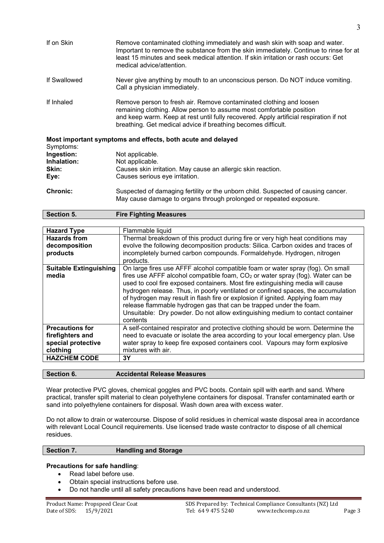| If on Skin   | Remove contaminated clothing immediately and wash skin with soap and water.<br>Important to remove the substance from the skin immediately. Continue to rinse for at<br>least 15 minutes and seek medical attention. If skin irritation or rash occurs: Get<br>medical advice/attention.               |
|--------------|--------------------------------------------------------------------------------------------------------------------------------------------------------------------------------------------------------------------------------------------------------------------------------------------------------|
| If Swallowed | Never give anything by mouth to an unconscious person. Do NOT induce vomiting.<br>Call a physician immediately.                                                                                                                                                                                        |
| If Inhaled   | Remove person to fresh air. Remove contaminated clothing and loosen<br>remaining clothing. Allow person to assume most comfortable position<br>and keep warm. Keep at rest until fully recovered. Apply artificial respiration if not<br>breathing. Get medical advice if breathing becomes difficult. |

| Symptoms:       | Most important symptoms and effects, both acute and delayed                       |
|-----------------|-----------------------------------------------------------------------------------|
| Ingestion:      | Not applicable.                                                                   |
| Inhalation:     | Not applicable.                                                                   |
| Skin:           | Causes skin irritation. May cause an allergic skin reaction.                      |
| Eve:            | Causes serious eye irritation.                                                    |
| <b>Chronic:</b> | Suspected of damaging fertility or the unborn child. Suspected of causing cancer. |
|                 | May cause damage to organs through prolonged or repeated exposure.                |

| Section 5.                             | <b>Fire Fighting Measures</b>                                                                                                                                                                                                                                                                                                                                                                                                                                                                                                                                                                    |
|----------------------------------------|--------------------------------------------------------------------------------------------------------------------------------------------------------------------------------------------------------------------------------------------------------------------------------------------------------------------------------------------------------------------------------------------------------------------------------------------------------------------------------------------------------------------------------------------------------------------------------------------------|
|                                        |                                                                                                                                                                                                                                                                                                                                                                                                                                                                                                                                                                                                  |
| <b>Hazard Type</b>                     | Flammable liquid                                                                                                                                                                                                                                                                                                                                                                                                                                                                                                                                                                                 |
| <b>Hazards from</b>                    | Thermal breakdown of this product during fire or very high heat conditions may                                                                                                                                                                                                                                                                                                                                                                                                                                                                                                                   |
| decomposition                          | evolve the following decomposition products: Silica. Carbon oxides and traces of                                                                                                                                                                                                                                                                                                                                                                                                                                                                                                                 |
| products                               | incompletely burned carbon compounds. Formaldehyde. Hydrogen, nitrogen<br>products.                                                                                                                                                                                                                                                                                                                                                                                                                                                                                                              |
| <b>Suitable Extinguishing</b><br>media | On large fires use AFFF alcohol compatible foam or water spray (fog). On small<br>fires use AFFF alcohol compatible foam, $CO2$ or water spray (fog). Water can be<br>used to cool fire exposed containers. Most fire extinguishing media will cause<br>hydrogen release. Thus, in poorly ventilated or confined spaces, the accumulation<br>of hydrogen may result in flash fire or explosion if ignited. Applying foam may<br>release flammable hydrogen gas that can be trapped under the foam.<br>Unsuitable: Dry powder. Do not allow extinguishing medium to contact container<br>contents |
| <b>Precautions for</b>                 | A self-contained respirator and protective clothing should be worn. Determine the                                                                                                                                                                                                                                                                                                                                                                                                                                                                                                                |
| firefighters and                       | need to evacuate or isolate the area according to your local emergency plan. Use                                                                                                                                                                                                                                                                                                                                                                                                                                                                                                                 |
| special protective                     | water spray to keep fire exposed containers cool. Vapours may form explosive                                                                                                                                                                                                                                                                                                                                                                                                                                                                                                                     |
| clothing                               | mixtures with air.                                                                                                                                                                                                                                                                                                                                                                                                                                                                                                                                                                               |
| <b>HAZCHEM CODE</b>                    | 3Y                                                                                                                                                                                                                                                                                                                                                                                                                                                                                                                                                                                               |
|                                        |                                                                                                                                                                                                                                                                                                                                                                                                                                                                                                                                                                                                  |

**Section 6. Accidental Release Measures**

Wear protective PVC gloves, chemical goggles and PVC boots. Contain spill with earth and sand. Where practical, transfer spilt material to clean polyethylene containers for disposal. Transfer contaminated earth or sand into polyethylene containers for disposal. Wash down area with excess water.

Do not allow to drain or watercourse. Dispose of solid residues in chemical waste disposal area in accordance with relevant Local Council requirements. Use licensed trade waste contractor to dispose of all chemical residues.

| Section 7. | <b>Handling and Storage</b> |
|------------|-----------------------------|
|------------|-----------------------------|

## **Precautions for safe handling**:

- Read label before use.
- Obtain special instructions before use.
- Do not handle until all safety precautions have been read and understood.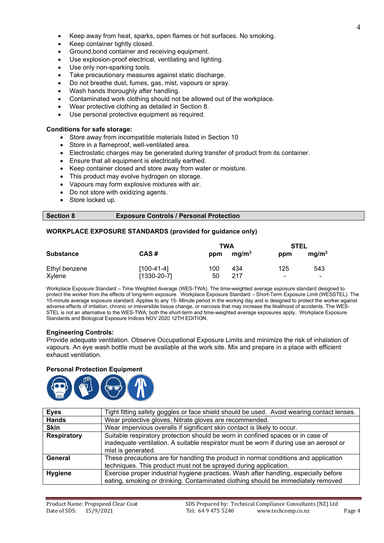- Keep container tightly closed.
- Ground,bond container and receiving equipment.
- Use explosion-proof electrical, ventilating and lighting.
- Use only non-sparking tools.
- Take precautionary measures against static discharge.
- Do not breathe dust, fumes, gas, mist, vapours or spray.
- Wash hands thoroughly after handling.
- Contaminated work clothing should not be allowed out of the workplace.
- Wear protective clothing as detailed in Section 8.
- Use personal protective equipment as required.

## **Conditions for safe storage:**

- Store away from incompatible materials listed in Section 10
- Store in a flameproof, well-ventilated area.
- Electrostatic charges may be generated during transfer of product from its container.
- Ensure that all equipment is electrically earthed.
- Keep container closed and store away from water or moisture.
- This product may evolve hydrogen on storage.
- Vapours may form explosive mixtures with air.
- Do not store with oxidizing agents.
- Store locked up.

## **Section 8 Exposure Controls / Personal Protection**

## **WORKPLACE EXPOSURE STANDARDS (provided for guidance only)**

|                  |                   |     |                   | <b>STEL</b><br><b>TWA</b> |                          |
|------------------|-------------------|-----|-------------------|---------------------------|--------------------------|
| <b>Substance</b> | CAS#              | ppm | mg/m <sup>3</sup> | ppm                       | mg/m <sup>3</sup>        |
| Ethyl benzene    | $[100-41-4]$      | 100 | 434               | 125                       | 543                      |
| Xylene           | $[1330 - 20 - 7]$ | 50  | 217               | $\blacksquare$            | $\overline{\phantom{0}}$ |

Workplace Exposure Standard – Time Weighted Average (WES-TWA). The time-weighted average exposure standard designed to protect the worker from the effects of long-term exposure. Workplace Exposure Standard – Short-Term Exposure Limit (WESSTEL). The 15-minute average exposure standard. Applies to any 15- Minute period in the working day and is designed to protect the worker against adverse effects of irritation, chronic or irreversible tissue change, or narcosis that may increase the likelihood of accidents. The WES-STEL is not an alternative to the WES-TWA; both the short-term and time-weighted average exposures apply. Workplace Exposure Standards and Biological Exposure Indices NOV 2020 12TH EDITION.

## **Engineering Controls:**

Provide adequate ventilation. Observe Occupational Exposure Limits and minimize the risk of inhalation of vapours. An eye wash bottle must be available at the work site. Mix and prepare in a place with efficient exhaust ventilation.

#### **Personal Protection Equipment**



| <b>Eyes</b>        | Tight fitting safety goggles or face shield should be used. Avoid wearing contact lenses. |  |  |
|--------------------|-------------------------------------------------------------------------------------------|--|--|
| <b>Hands</b>       | Wear protective gloves, Nitrate gloves are recommended.                                   |  |  |
| <b>Skin</b>        | Wear impervious overalls if significant skin contact is likely to occur.                  |  |  |
| <b>Respiratory</b> | Suitable respiratory protection should be worn in confined spaces or in case of           |  |  |
|                    | inadequate ventilation. A suitable respirator must be worn if during use an aerosol or    |  |  |
|                    | mist is generated.                                                                        |  |  |
| General            | These precautions are for handling the product in normal conditions and application       |  |  |
|                    | techniques. This product must not be sprayed during application.                          |  |  |
| <b>Hygiene</b>     | Exercise proper industrial hygiene practices. Wash after handling, especially before      |  |  |
|                    | eating, smoking or drinking. Contaminated clothing should be immediately removed          |  |  |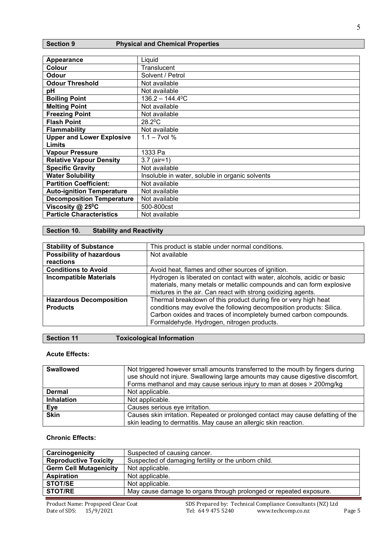## **Section 9 Physical and Chemical Properties**

| <b>Appearance</b>                | Liquid                                          |
|----------------------------------|-------------------------------------------------|
| Colour                           | Translucent                                     |
| Odour                            | Solvent / Petrol                                |
| <b>Odour Threshold</b>           | Not available                                   |
| рH                               | Not available                                   |
| <b>Boiling Point</b>             | $136.2 - 144.4$ <sup>o</sup> C                  |
| <b>Melting Point</b>             | Not available                                   |
| <b>Freezing Point</b>            | Not available                                   |
| <b>Flash Point</b>               | $28.2$ <sup>o</sup> C                           |
| <b>Flammability</b>              | Not available                                   |
| <b>Upper and Lower Explosive</b> | $1.1 - 7$ vol %                                 |
| Limits                           |                                                 |
| <b>Vapour Pressure</b>           | 1333 Pa                                         |
| <b>Relative Vapour Density</b>   | $3.7$ (air=1)                                   |
| <b>Specific Gravity</b>          | Not available                                   |
| <b>Water Solubility</b>          | Insoluble in water, soluble in organic solvents |
| <b>Partition Coefficient:</b>    | Not available                                   |
| <b>Auto-ignition Temperature</b> | Not available                                   |
| <b>Decomposition Temperature</b> | Not available                                   |
| Viscosity $@$ 25 <sup>°</sup> C  | 500-800cst                                      |
| <b>Particle Characteristics</b>  | Not available                                   |

## **Section 10. Stability and Reactivity**

| <b>Stability of Substance</b>                     | This product is stable under normal conditions.                                                                                                                                                                                                           |
|---------------------------------------------------|-----------------------------------------------------------------------------------------------------------------------------------------------------------------------------------------------------------------------------------------------------------|
| <b>Possibility of hazardous</b>                   | Not available                                                                                                                                                                                                                                             |
| reactions                                         |                                                                                                                                                                                                                                                           |
| <b>Conditions to Avoid</b>                        | Avoid heat, flames and other sources of ignition.                                                                                                                                                                                                         |
| <b>Incompatible Materials</b>                     | Hydrogen is liberated on contact with water, alcohols, acidic or basic<br>materials, many metals or metallic compounds and can form explosive<br>mixtures in the air. Can react with strong oxidizing agents.                                             |
| <b>Hazardous Decomposition</b><br><b>Products</b> | Thermal breakdown of this product during fire or very high heat<br>conditions may evolve the following decomposition products: Silica.<br>Carbon oxides and traces of incompletely burned carbon compounds.<br>Formaldehyde. Hydrogen, nitrogen products. |

## **Section 11 Toxicological Information**

## **Acute Effects:**

| <b>Swallowed</b>  | Not triggered however small amounts transferred to the mouth by fingers during<br>use should not injure. Swallowing large amounts may cause digestive discomfort.<br>Forms methanol and may cause serious injury to man at doses > 200mg/kg |
|-------------------|---------------------------------------------------------------------------------------------------------------------------------------------------------------------------------------------------------------------------------------------|
| <b>Dermal</b>     | Not applicable.                                                                                                                                                                                                                             |
| <b>Inhalation</b> | Not applicable.                                                                                                                                                                                                                             |
| Eye               | Causes serious eye irritation.                                                                                                                                                                                                              |
| <b>Skin</b>       | Causes skin irritation. Repeated or prolonged contact may cause defatting of the<br>skin leading to dermatitis. May cause an allergic skin reaction.                                                                                        |
|                   |                                                                                                                                                                                                                                             |

## **Chronic Effects:**

| Carcinogenicity               | Suspected of causing cancer.                                       |
|-------------------------------|--------------------------------------------------------------------|
| <b>Reproductive Toxicity</b>  | Suspected of damaging fertility or the unborn child.               |
| <b>Germ Cell Mutagenicity</b> | Not applicable.                                                    |
| <b>Aspiration</b>             | Not applicable.                                                    |
| <b>STOT/SE</b>                | Not applicable.                                                    |
| <b>STOT/RE</b>                | May cause damage to organs through prolonged or repeated exposure. |

5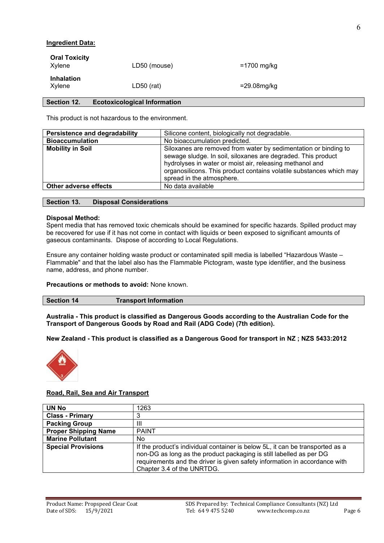## **Ingredient Data:**

| <b>Oral Toxicity</b><br>Xvlene | LD50 (mouse) | =1700 mg/kg |
|--------------------------------|--------------|-------------|
| <b>Inhalation</b><br>Xvlene    | $LD50$ (rat) | =29.08mg/kg |

## **Section 12. Ecotoxicological Information**

This product is not hazardous to the environment.

| <b>Persistence and degradability</b> | Silicone content, biologically not degradable.                                                                                                                                                                                                                                                  |  |
|--------------------------------------|-------------------------------------------------------------------------------------------------------------------------------------------------------------------------------------------------------------------------------------------------------------------------------------------------|--|
| <b>Bioaccumulation</b>               | No bioaccumulation predicted.                                                                                                                                                                                                                                                                   |  |
| <b>Mobility in Soil</b>              | Siloxanes are removed from water by sedimentation or binding to<br>sewage sludge. In soil, siloxanes are degraded. This product<br>hydrolyses in water or moist air, releasing methanol and<br>organosilicons. This product contains volatile substances which may<br>spread in the atmosphere. |  |
| <b>Other adverse effects</b>         | No data available                                                                                                                                                                                                                                                                               |  |

**Section 13. Disposal Considerations**

#### **Disposal Method:**

Spent media that has removed toxic chemicals should be examined for specific hazards. Spilled product may be recovered for use if it has not come in contact with liquids or been exposed to significant amounts of gaseous contaminants. Dispose of according to Local Regulations.

Ensure any container holding waste product or contaminated spill media is labelled "Hazardous Waste – Flammable" and that the label also has the Flammable Pictogram, waste type identifier, and the business name, address, and phone number.

#### **Precautions or methods to avoid:** None known.

| <b>Section 14</b><br><b>Transport Information</b> |
|---------------------------------------------------|
|---------------------------------------------------|

**Australia - This product is classified as Dangerous Goods according to the Australian Code for the Transport of Dangerous Goods by Road and Rail (ADG Code) (7th edition).**

**New Zealand - This product is classified as a Dangerous Good for transport in NZ ; NZS 5433:2012**



## **Road, Rail, Sea and Air Transport**

| <b>UN No</b>                | 1263                                                                                                                                                                                                                                                             |
|-----------------------------|------------------------------------------------------------------------------------------------------------------------------------------------------------------------------------------------------------------------------------------------------------------|
| <b>Class - Primary</b>      |                                                                                                                                                                                                                                                                  |
| <b>Packing Group</b>        | Ш                                                                                                                                                                                                                                                                |
| <b>Proper Shipping Name</b> | <b>PAINT</b>                                                                                                                                                                                                                                                     |
| <b>Marine Pollutant</b>     | No                                                                                                                                                                                                                                                               |
| <b>Special Provisions</b>   | If the product's individual container is below 5L, it can be transported as a<br>non-DG as long as the product packaging is still labelled as per DG<br>requirements and the driver is given safety information in accordance with<br>Chapter 3.4 of the UNRTDG. |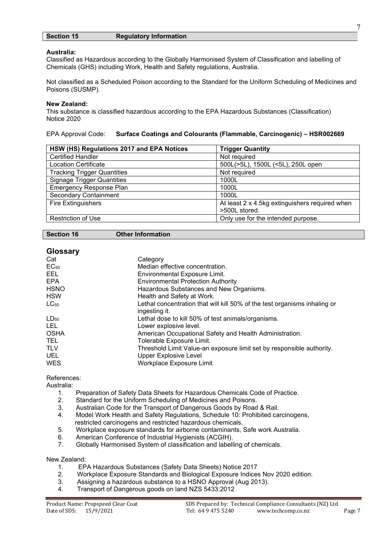## **Section 15 Regulatory Information**

## **Australia:**

Classified as Hazardous according to the Globally Harmonised System of Classification and labelling of Chemicals (GHS) including Work, Health and Safety regulations, Australia.

Not classified as a Scheduled Poison according to the Standard for the Uniform Scheduling of Medicines and Poisons (SUSMP).

### **New Zealand:**

This substance is classified hazardous according to the EPA Hazardous Substances (Classification) Notice 2020

EPA Approval Code: **Surface Coatings and Colourants (Flammable, Carcinogenic) – HSR002669**

| HSW (HS) Regulations 2017 and EPA Notices | <b>Trigger Quantity</b>                        |
|-------------------------------------------|------------------------------------------------|
| <b>Certified Handler</b>                  | Not required                                   |
| <b>Location Certificate</b>               | 500L(>5L), 1500L (<5L), 250L open              |
| <b>Tracking Trigger Quantities</b>        | Not required                                   |
| <b>Signage Trigger Quantities</b>         | 1000L                                          |
| <b>Emergency Response Plan</b>            | 1000L                                          |
| <b>Secondary Containment</b>              | 1000L                                          |
| <b>Fire Extinguishers</b>                 | At least 2 x 4.5kg extinguishers required when |
|                                           | >500L stored.                                  |
| <b>Restriction of Use</b>                 | Only use for the intended purpose.             |

#### **Section 16 Other Information**

| <b>Glossary</b> |                                                                                            |
|-----------------|--------------------------------------------------------------------------------------------|
| Cat             | Category                                                                                   |
| $EC_{50}$       | Median effective concentration.                                                            |
| EEL.            | Environmental Exposure Limit.                                                              |
| <b>EPA</b>      | <b>Environmental Protection Authority</b>                                                  |
| <b>HSNO</b>     | Hazardous Substances and New Organisms.                                                    |
| <b>HSW</b>      | Health and Safety at Work.                                                                 |
| $LC_{50}$       | Lethal concentration that will kill 50% of the test organisms inhaling or<br>ingesting it. |
| $LD_{50}$       | Lethal dose to kill 50% of test animals/organisms.                                         |
| LEL.            | Lower explosive level.                                                                     |
| <b>OSHA</b>     | American Occupational Safety and Health Administration.                                    |
| TEL.            | Tolerable Exposure Limit.                                                                  |
| <b>TLV</b>      | Threshold Limit Value-an exposure limit set by responsible authority.                      |
| <b>UEL</b>      | <b>Upper Explosive Level</b>                                                               |
| <b>WES</b>      | Workplace Exposure Limit                                                                   |
|                 |                                                                                            |

References:

Australia:

- 1. Preparation of Safety Data Sheets for Hazardous Chemicals Code of Practice.
- Standard for the Uniform Scheduling of Medicines and Poisons.
- 3. Australian Code for the Transport of Dangerous Goods by Road & Rail.
- 4. Model Work Health and Safety Regulations, Schedule 10: Prohibited carcinogens, restricted carcinogens and restricted hazardous chemicals.
- 5. Workplace exposure standards for airborne contaminants, Safe work Australia.
- 6. American Conference of Industrial Hygienists (ACGIH).
- Globally Harmonised System of classification and labelling of chemicals.

New Zealand:

- 1. EPA Hazardous Substances (Safety Data Sheets) Notice 2017
- 2. Workplace Exposure Standards and Biological Exposure Indices Nov 2020 edition.
- 3. Assigning a hazardous substance to a HSNO Approval (Aug 2013).
- 4. Transport of Dangerous goods on land NZS 5433:2012